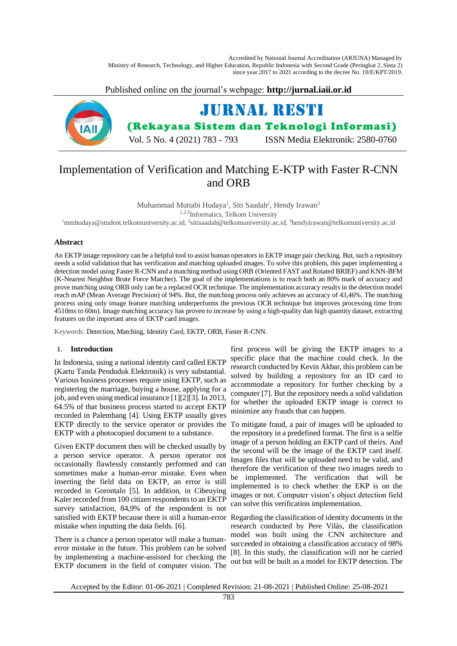Accredited by National Journal Accreditation (ARJUNA) Managed by Ministry of Research, Technology, and Higher Education, Republic Indonesia with Second Grade (Peringkat 2, Sinta 2) since year 2017 to 2021 according to the decree No. 10/E/KPT/2019.

Published online on the journal's webpage: **http://jurnal.iaii.or.id**



# Implementation of Verification and Matching E-KTP with Faster R-CNN and ORB

Muhammad Muttabi Hudaya<sup>1</sup>, Siti Saadah<sup>2</sup>, Hendy Irawan<sup>3</sup>

1,2,3Informatics, Telkom University

<sup>1</sup>[mmhudaya@student.telkomuniversity.ac.id,](mailto:1resti@iaii.org) <sup>2</sup>sitisaadah@telkomuniversity.ac.id, <sup>3</sup>hendyirawan@telkomuniversity.ac.id

# **Abstract**

An EKTP image repository can be a helpful tool to assist human operators in EKTP image pair checking. But, such a repository needs a solid validation that has verification and matching uploaded images. To solve this problem, this paper implementing a detection model using Faster R-CNN and a matching method using ORB (Oriented FAST and Rotated BRIEF) and KNN-BFM (K-Nearest Neighbor Brute Force Matcher). The goal of the implementations is to reach both an 80% mark of accuracy and prove matching using ORB only can be a replaced OCR technique. The implementation accuracy resultsin the detection model reach mAP (Mean Average Precision) of 94%. But, the matching process only achieves an accuracy of 43,46%. The matching process using only image feature matching underperforms the previous OCR technique but improves processing time from 4510ms to 60m). Image matching accuracy has proven to increase by using a high-quality dan high quantity dataset, extracting features on the important area of EKTP card images.

Keywords: Detection, Matching, Identity Card, EKTP, ORB, Faster R-CNN.

## **1. Introduction**

In Indonesia, using a national identity card called EKTP (Kartu Tanda Penduduk Elektronik) is very substantial. Various business processes require using EKTP, such as registering the marriage, buying a house, applying for a job, and even using medical insuranc[e \[1\]](#page-9-0)[\[2\]](#page-9-1)[\[3\].](#page-9-2) In 2013, 64.5% of that business process started to accept EKTP recorded in Palembang [\[4\].](#page-9-3) Using EKTP usually gives EKTP directly to the service operator or provides the To mitigate fraud, a pair of images will be uploaded to EKTP with a photocopied document to a substance.

Given EKTP document then will be checked usually by a person service operator. A person operator not occasionally flawlessly constantly performed and can sometimes make a human-error mistake. Even when inserting the field data on EKTP, an error is still recorded in Gorontalo [\[5\].](#page-9-4) In addition, in Cibeuying Kaler recorded from 100 citizen respondents to an EKTP survey satisfaction, 84,9% of the respondent is not satisfied with EKTP because there is still a human-error Regarding the classification of identity documents in the mistake when inputting the data fields. [\[6\].](#page-9-5)

There is a chance a person operator will make a humanerror mistake in the future. This problem can be solved by implementing a machine-assisted for checking the EKTP document in the field of computer vision. The

first process will be giving the EKTP images to a specific place that the machine could check. In the research conducted by Kevin Akbar, this problem can be solved by building a repository for an ID card to accommodate a repository for further checking by a compute[r \[7\].](#page-9-6) But the repository needs a solid validation for whether the uploaded EKTP image is correct to minimize any frauds that can happen.

the repository in a predefined format. The first is a selfie image of a person holding an EKTP card of theirs. And the second will be the image of the EKTP card itself. Images files that will be uploaded need to be valid, and therefore the verification of these two images needs to be implemented. The verification that will be implemented is to check whether the EKP is on the images or not. Computer vision's object detection field can solve this verification implementation.

research conducted by Pere Vilás, the classification model was built using the CNN architecture and succeeded in obtaining a classification accuracy of 98% [8]. In this study, the classification will not be carried out but will be built as a model for EKTP detection. The

Accepted by the Editor: 01-06-2021 | Completed Revision: 21-08-2021 | Published Online: 25-08-2021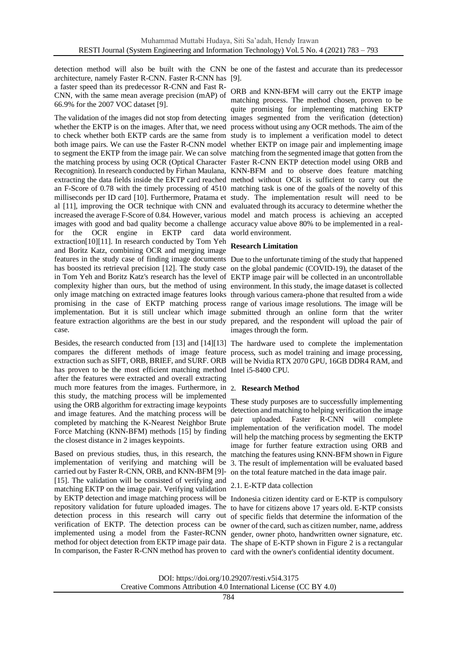detection method will also be built with the CNN be one of the fastest and accurate than its predecessor architecture, namely Faster R-CNN. Faster R-CNN has [\[9\].](#page-9-7) a faster speed than its predecessor R-CNN and Fast R-CNN, with the same mean average precision (mAP) of 66.9% for the 2007 VOC dataset [\[9\].](#page-9-7)

The validation of the images did not stop from detecting images segmented from the verification (detection) whether the EKTP is on the images. After that, we need process without using any OCR methods. The aim of the to check whether both EKTP cards are the same from study is to implement a verification model to detect both image pairs. We can use the Faster R-CNN model whether EKTP on image pair and implementing image to segment the EKTP from the image pair. We can solve matching from the segmented image that gotten from the the matching process by using OCR (Optical Character Faster R-CNN EKTP detection model using ORB and Recognition). In research conducted by Firhan Maulana, KNN-BFM and to observe does feature matching extracting the data fields inside the EKTP card reached method without OCR is sufficient to carry out the an F-Score of 0.78 with the timely processing of 4510 matching task is one of the goals of the novelty of this milliseconds per ID card [\[10\].](#page-10-0) Furthermore, Pratama et study. The implementation result will need to be al [\[11\],](#page-10-1) improving the OCR technique with CNN and evaluated through its accuracy to determine whether the increased the average F-Score of 0.84. However, various model and match process is achieving an accepted images with good and bad quality become a challenge accuracy value above 80% to be implemented in a realfor the OCR engine in EKTP card data world environment. extractio[n\[10\]](#page-10-0)[\[11\].](#page-10-1) In research conducted by Tom Yeh and Boritz Katz, combining OCR and merging image features in the study case of finding image documents Due to the unfortunate timing of the study that happened has boosted its retrieval precision [\[12\].](#page-10-2) The study case on the global pandemic (COVID-19), the dataset of the in Tom Yeh and Boritz Katz's research has the level of EKTP image pair will be collected in an uncontrollable complexity higher than ours, but the method of using environment. In this study, the image dataset is collected only image matching on extracted image features looks through various camera-phone that resulted from a wide promising in the case of EKTP matching process range of various image resolutions. The image will be implementation. But it is still unclear which image submitted through an online form that the writer feature extraction algorithms are the best in our study prepared, and the respondent will upload the pair of case.

Besides, the research conducted from [\[13\]](#page-10-3) and [\[14\]](#page-10-4)[\[13\]](#page-10-3) The hardware used to complete the implementation compares the different methods of image feature process, such as model training and image processing, extraction such as SIFT, ORB, BRIEF, and SURF. ORB will be Nvidia RTX 2070 GPU, 16GB DDR4 RAM, and has proven to be the most efficient matching method Intel i5-8400 CPU. after the features were extracted and overall extracting much more features from the images. Furthermore, in **2. Research Method** this study, the matching process will be implemented using the ORB algorithm for extracting image keypoints and image features. And the matching process will be completed by matching the K-Nearest Neighbor Brute Force Matching (KNN-BFM) methods [\[15\]](#page-10-5) by finding the closest distance in 2 images keypoints.

Based on previous studies, thus, in this research, the matching the features using KNN-BFM shown i[n Figure](#page-2-0)  implementation of verifying and matching will be [3.](#page-2-0) The result of implementation will be evaluated based carried out by Faster R-CNN, ORB, and KNN-BFM [\[9\]-](#page-9-7) [\[15\].](#page-10-5) The validation will be consisted of verifying and matching EKTP on the image pair. Verifying validation by EKTP detection and image matching process will be Indonesia citizen identity card or E-KTP is compulsory repository validation for future uploaded images. The to have for citizens above 17 years old. E-KTP consists detection process in this research will carry out of specific fields that determine the information of the verification of EKTP. The detection process can be owner of the card, such as citizen number, name, address implemented using a model from the Faster-RCNN gender, owner photo, handwritten owner signature, etc. method for object detection from EKTP image pair data. The shape of E-KTP shown in [Figure 2](#page-2-1) is a rectangular In comparison, the Faster R-CNN method has proven to card with the owner's confidential identity document.

ORB and KNN-BFM will carry out the EKTP image matching process. The method chosen, proven to be quite promising for implementing matching EKTP

# **Research Limitation**

images through the form.

These study purposes are to successfully implementing detection and matching to helping verification the image pair uploaded. Faster R-CNN will complete implementation of the verification model. The model will help the matching process by segmenting the EKTP image for further feature extraction using ORB and on the total feature matched in the data image pair.

# 2.1. E-KTP data collection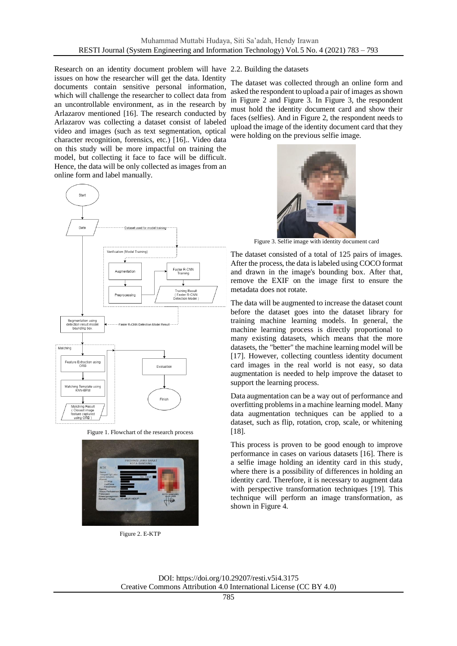Research on an identity document problem will have 2.2. Building the datasets issues on how the researcher will get the data. Identity documents contain sensitive personal information, which will challenge the researcher to collect data from an uncontrollable environment, as in the research by Arlazarov mentioned [\[16\].](#page-10-6) The research conducted by Arlazarov was collecting a dataset consist of labeled video and images (such as text segmentation, optical character recognition, forensics, etc.) [\[16\].](#page-10-6). Video data on this study will be more impactful on training the model, but collecting it face to face will be difficult. Hence, the data will be only collected as images from an online form and label manually.



Figure 1. Flowchart of the research process

<span id="page-2-1"></span>

Figure 2. E-KTP

The dataset was collected through an online form and asked the respondent to upload a pair of images as shown in [Figure 2](#page-2-1) and [Figure 3.](#page-2-0) In [Figure 3,](#page-2-0) the respondent must hold the identity document card and show their faces (selfies). And in [Figure 2,](#page-2-1) the respondent needs to upload the image of the identity document card that they were holding on the previous selfie image.



Figure 3. Selfie image with identity document card

<span id="page-2-0"></span>The dataset consisted of a total of 125 pairs of images. After the process, the data is labeled using COCO format and drawn in the image's bounding box. After that, remove the EXIF on the image first to ensure the metadata does not rotate.

The data will be augmented to increase the dataset count before the dataset goes into the dataset library for training machine learning models. In general, the machine learning process is directly proportional to many existing datasets, which means that the more datasets, the "better" the machine learning model will be [\[17\].](#page-10-7) However, collecting countless identity document card images in the real world is not easy, so data augmentation is needed to help improve the dataset to support the learning process.

Data augmentation can be a way out of performance and overfitting problems in a machine learning model. Many data augmentation techniques can be applied to a dataset, such as flip, rotation, crop, scale, or whitening [\[18\].](#page-10-8)

This process is proven to be good enough to improve performance in cases on various datasets [\[16\].](#page-10-9) There is a selfie image holding an identity card in this study, where there is a possibility of differences in holding an identity card. Therefore, it is necessary to augment data with perspective transformation techniques [\[19\].](#page-10-10) This technique will perform an image transformation, as shown in [Figure 4.](#page-3-0)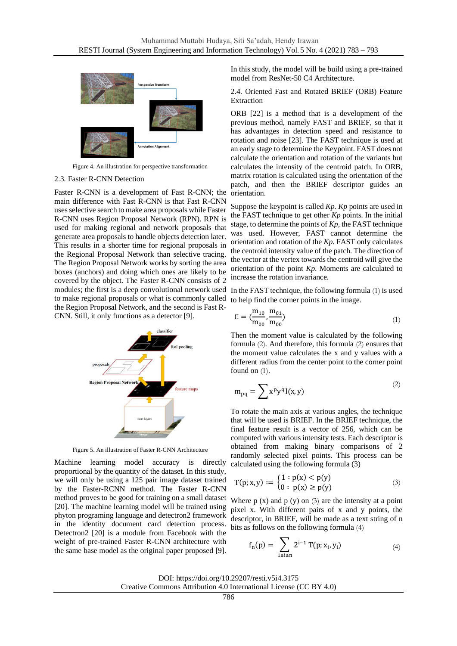

Figure 4. An illustration for perspective transformation

### <span id="page-3-0"></span>2.3. Faster R-CNN Detection

Faster R-CNN is a development of Fast R-CNN; the main difference with Fast R-CNN is that Fast R-CNN uses selective search to make area proposals while Faster R-CNN uses Region Proposal Network (RPN). RPN is used for making regional and network proposals that generate area proposals to handle objects detection later. This results in a shorter time for regional proposals in the Regional Proposal Network than selective tracing. The Region Proposal Network works by sorting the area boxes (anchors) and doing which ones are likely to be covered by the object. The Faster R-CNN consists of 2 modules; the first is a deep convolutional network used In the FAST technique, the following formula [\(1\)](#page-3-1) is used to make regional proposals or what is commonly called to help find the corner points in the image. the Region Proposal Network, and the second is Fast R-CNN. Still, it only functions as a detector [\[9\].](#page-9-7)



Figure 5. An illustration of Faster R-CNN Architecture

Machine learning model accuracy is directly proportional by the quantity of the dataset. In this study, we will only be using a 125 pair image dataset trained by the Faster-RCNN method. The Faster R-CNN method proves to be good for training on a small dataset [\[20\].](#page-10-11) The machine learning model will be trained using phyton programing language and detectron2 framework in the identity document card detection process. Detectron2 [\[20\]](#page-10-11) is a module from Facebook with the weight of pre-trained Faster R-CNN architecture with the same base model as the original paper proposed [\[9\].](#page-9-7)

In this study, the model will be build using a pre-trained model from ResNet-50 C4 Architecture.

2.4. Oriented Fast and Rotated BRIEF (ORB) Feature Extraction

ORB [\[22\]](#page-10-12) is a method that is a development of the previous method, namely FAST and BRIEF, so that it has advantages in detection speed and resistance to rotation and noise [\[23\].](#page-10-13) The FAST technique is used at an early stage to determine the Keypoint. FAST does not calculate the orientation and rotation of the variants but calculates the intensity of the centroid patch. In ORB, matrix rotation is calculated using the orientation of the patch, and then the BRIEF descriptor guides an orientation.

Suppose the keypoint is called *Kp*. *Kp* points are used in the FAST technique to get other *Kp* points. In the initial stage, to determine the points of *Kp*, the FAST technique was used. However, FAST cannot determine the orientation and rotation of the *Kp*. FAST only calculates the centroid intensity value of the patch. The direction of the vector at the vertex towards the centroid will give the orientation of the point *Kp*. Moments are calculated to increase the rotation invariance.

<span id="page-3-1"></span>
$$
C = \left(\frac{m_{10}}{m_{00}}, \frac{m_{01}}{m_{00}}\right) \tag{1}
$$

Then the moment value is calculated by the following formula [\(2\)](#page-3-2). And therefore, this formula [\(2\)](#page-3-2) ensures that the moment value calculates the x and y values with a different radius from the center point to the corner point found on  $(1)$ .

<span id="page-3-2"></span>
$$
m_{pq} = \sum x^p y^q I(x, y)
$$
 (2)

To rotate the main axis at various angles, the technique that will be used is BRIEF. In the BRIEF technique, the final feature result is a vector of 256, which can be computed with various intensity tests. Each descriptor is obtained from making binary comparisons of 2 randomly selected pixel points. This process can be calculated using the following formula (3)

$$
T(p; x, y) := \begin{cases} 1 : p(x) < p(y) \\ 0 : p(x) \ge p(y) \end{cases}
$$
 (3)

Where  $p(x)$  and  $p(y)$  on  $(3)$  are the intensity at a point pixel x. With different pairs of x and y points, the descriptor, in BRIEF, will be made as a text string of n bits as follows on the following formula [\(4\)](#page-3-4)

<span id="page-3-4"></span><span id="page-3-3"></span>
$$
f_n(p) = \sum_{1 \leq i \leq n} 2^{i-1} \, T(p; x_i, y_i) \tag{4}
$$

DOI: https://doi.org/10.29207/resti.v5i4.3175

Creative Commons Attribution 4.0 International License (CC BY 4.0)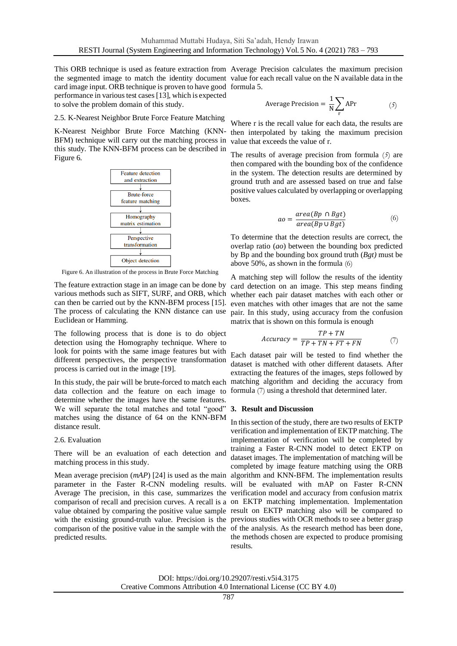This ORB technique is used as feature extraction from Average Precision calculates the maximum precision the segmented image to match the identity document value for each recall value on the N available data in the card image input. ORB technique is proven to have good formula 5. performance in various test case[s \[13\],](#page-10-3) which is expected to solve the problem domain of this study.

2.5. K-Nearest Neighbor Brute Force Feature Matching

K-Nearest Neighbor Brute Force Matching (KNN-BFM) technique will carry out the matching process in value that exceeds the value of r. this study. The KNN-BFM process can be described in [Figure 6.](#page-4-0)



Figure 6. An illustration of the process in Brute Force Matching

The feature extraction stage in an image can be done by various methods such as SIFT, SURF, and ORB, which can then be carried out by the KNN-BFM process [\[15\].](#page-10-5)  Euclidean or Hamming.

The following process that is done is to do object detection using the Homography technique. Where to look for points with the same image features but with different perspectives, the perspective transformation process is carried out in the image [\[19\].](#page-10-10)

data collection and the feature on each image to determine whether the images have the same features. We will separate the total matches and total "good" **3. Result and Discussion** matches using the distance of 64 on the KNN-BFM distance result.

# 2.6. Evaluation

There will be an evaluation of each detection and matching process in this study.

parameter in the Faster R-CNN modeling results. will be evaluated with mAP on Faster R-CNN Average The precision, in this case, summarizes the verification model and accuracy from confusion matrix comparison of recall and precision curves. A recall is a on EKTP matching implementation. Implementation value obtained by comparing the positive value sample result on EKTP matching also will be compared to with the existing ground-truth value. Precision is the previous studies with OCR methods to see a better grasp comparison of the positive value in the sample with the of the analysis. As the research method has been done, predicted results.

<span id="page-4-1"></span>Average Precision = 
$$
\frac{1}{N} \sum_{r} APr
$$
 (5)

Where r is the recall value for each data, the results are then interpolated by taking the maximum precision

The results of average precision from formula (*[5](#page-4-1)*) are then compared with the bounding box of the confidence in the system. The detection results are determined by ground truth and are assessed based on true and false positive values calculated by overlapping or overlapping boxes.

<span id="page-4-2"></span>
$$
ao = \frac{area(Bp \cap Bgt)}{area(Bp \cup Bgt)} \tag{6}
$$

To determine that the detection results are correct, the overlap ratio (*ao*) between the bounding box predicted by Bp and the bounding box ground truth (*Bgt)* must be above 50%, as shown in the formula [\(6\)](#page-4-2)

<span id="page-4-0"></span>The process of calculating the KNN distance can use pair. In this study, using accuracy from the confusion A matching step will follow the results of the identity card detection on an image. This step means finding whether each pair dataset matches with each other or even matches with other images that are not the same matrix that is shown on this formula is enough

<span id="page-4-3"></span>
$$
Accuracy = \frac{TP + TN}{TP + TN + FT + FN}
$$
 (7)

In this study, the pair will be brute-forced to match each matching algorithm and deciding the accuracy from Each dataset pair will be tested to find whether the dataset is matched with other different datasets. After extracting the features of the images, steps followed by formula [\(7\)](#page-4-3) using a threshold that determined later.

Mean average precision  $(mAP)$  [\[24\]](#page-10-14) is used as the main algorithm and KNN-BFM. The implementation results In this section of the study, there are two results of EKTP verification and implementation of EKTP matching. The implementation of verification will be completed by training a Faster R-CNN model to detect EKTP on dataset images. The implementation of matching will be completed by image feature matching using the ORB the methods chosen are expected to produce promising results.

DOI: https://doi.org/10.29207/resti.v5i4.3175 Creative Commons Attribution 4.0 International License (CC BY 4.0)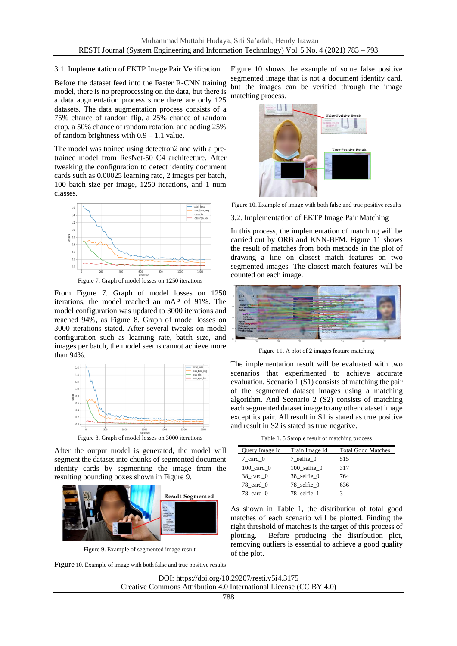# 3.1. Implementation of EKTP Image Pair Verification

Before the dataset feed into the Faster R-CNN training model, there is no preprocessing on the data, but there is a data augmentation process since there are only 125 datasets. The data augmentation process consists of a 75% chance of random flip, a 25% chance of random crop, a 50% chance of random rotation, and adding 25% of random brightness with 0.9 – 1.1 value.

The model was trained using detectron2 and with a pretrained model from ResNet-50 C4 architecture. After tweaking the configuration to detect identity document cards such as 0.00025 learning rate, 2 images per batch, 100 batch size per image, 1250 iterations, and 1 num classes.



<span id="page-5-0"></span>From Figure 7. [Graph of model losses on 1250](#page-5-0) [iterations,](#page-5-0) the model reached an mAP of 91%. The model configuration was updated to 3000 iterations and reached 94%, as [Figure 8. Graph of model losses on](#page-5-1)  [3000 iterations](#page-5-1) stated. After several tweaks on model configuration such as learning rate, batch size, and images per batch, the model seems cannot achieve more than 94%.



Figure 8. Graph of model losses on 3000 iterations

<span id="page-5-1"></span>After the output model is generated, the model will segment the dataset into chunks of segmented document identity cards by segmenting the image from the resulting bounding boxes shown in Figure 9.



Figure 9. Example of segmented image result.

Figure [10. Example of image with both false and true positive results](#page-5-2)

Figure 10 shows the example of some false positive segmented image that is not a document identity card, but the images can be verified through the image matching process.



Figure 10. Example of image with both false and true positive results

<span id="page-5-2"></span>3.2. Implementation of EKTP Image Pair Matching

In this process, the implementation of matching will be carried out by ORB and KNN-BFM. Figure 11 shows the result of matches from both methods in the plot of drawing a line on closest match features on two segmented images. The closest match features will be counted on each image.



Figure 11. A plot of 2 images feature matching

The implementation result will be evaluated with two scenarios that experimented to achieve accurate evaluation. Scenario 1 (S1) consists of matching the pair of the segmented dataset images using a matching algorithm. And Scenario 2 (S2) consists of matching each segmented dataset image to any other dataset image except its pair. All result in S1 is stated as true positive and result in S2 is stated as true negative.

Table 1. 5 Sample result of matching process

<span id="page-5-3"></span>

| Query Image Id            | Train Image Id   | <b>Total Good Matches</b> |
|---------------------------|------------------|---------------------------|
| 7 card 0                  | 7 selfie 0       | 515                       |
| $100$ card $0$            | $100$ selfie $0$ | 317                       |
| $38$ card 0               | 38 selfie 0      | 764                       |
| 78 card 0                 | 78 selfie 0      | 636                       |
| $78$ <sub>card</sub> $_0$ | 78 selfie 1      | 3                         |

As shown in [Table 1,](#page-5-3) the distribution of total good matches of each scenario will be plotted. Finding the right threshold of matches is the target of this process of plotting. Before producing the distribution plot, removing outliers is essential to achieve a good quality of the plot.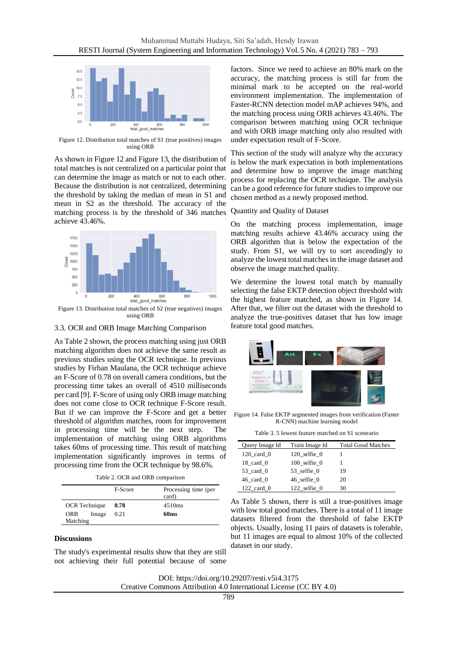

<span id="page-6-0"></span>Figure 12. Distribution total matches of S1 (true positives) images using ORB

As shown in [Figure 12](#page-6-0) an[d Figure 13,](#page-6-1) the distribution of total matches is not centralized on a particular point that can determine the image as match or not to each other. Because the distribution is not centralized, determining the threshold by taking the median of mean in S1 and mean in S2 as the threshold. The accuracy of the matching process is by the threshold of 346 matches achieve 43.46%.



<span id="page-6-1"></span>Figure 13. Distribution total matches of S2 (true negatives) images using ORB

3.3. OCR and ORB Image Matching Comparison

As [Table 2](#page-6-2) shown, the process matching using just ORB matching algorithm does not achieve the same result as previous studies using the OCR technique. In previous studies by Firhan Maulana, the OCR technique achieve an F-Score of 0.78 on overall camera conditions, but the processing time takes an overall of 4510 milliseconds per card [\[9\].](#page-10-15) F-Score of using only ORB image matching does not come close to OCR technique F-Score result. But if we can improve the F-Score and get a better threshold of algorithm matches, room for improvement in processing time will be the next step. The implementation of matching using ORB algorithms takes 60ms of processing time. This result of matching implementation significantly improves in terms of processing time from the OCR technique by 98.6%.

Table 2. OCR and ORB comparison

<span id="page-6-2"></span>

|                      | F-Score | Processing time (per<br>card) |
|----------------------|---------|-------------------------------|
| <b>OCR</b> Technique | 0.78    | 4510 <sub>ms</sub>            |
| ORB<br>Image         | 0.21    | 60 <sub>ms</sub>              |
| Matching             |         |                               |

### **Discussions**

The study's experimental results show that they are still not achieving their full potential because of some

factors. Since we need to achieve an 80% mark on the accuracy, the matching process is still far from the minimal mark to be accepted on the real-world environment implementation. The implementation of Faster-RCNN detection model mAP achieves 94%, and the matching process using ORB achieves 43.46%. The comparison between matching using OCR technique and with ORB image matching only also resulted with under expectation result of F-Score.

This section of the study will analyze why the accuracy is below the mark expectation in both implementations and determine how to improve the image matching process for replacing the OCR technique. The analysis can be a good reference for future studies to improve our chosen method as a newly proposed method.

# Quantity and Quality of Dataset

On the matching process implementation, image matching results achieve 43.46% accuracy using the ORB algorithm that is below the expectation of the study. From S1, we will try to sort ascendingly to analyze the lowest total matches in the image dataset and observe the image matched quality.

We determine the lowest total match by manually selecting the false EKTP detection object threshold with the highest feature matched, as shown in Figure 14. After that, we filter out the dataset with the threshold to analyze the true-positives dataset that has low image feature total good matches.



Figure 14. False EKTP segmented images from verification (Faster R-CNN) machine learning model

| Table 3, 5 lowest feature matched on S1 sceneario |  |  |  |  |  |
|---------------------------------------------------|--|--|--|--|--|
|---------------------------------------------------|--|--|--|--|--|

| Query Image Id         | Train Image Id   | <b>Total Good Matches</b> |
|------------------------|------------------|---------------------------|
| $120 \text{ card } 0$  | $120$ selfie $0$ |                           |
| $18$ <sub>card</sub> 0 | $100$ selfie $0$ |                           |
| $53$ card 0            | 53 selfie 0      | 19                        |
| $46$ card 0            | 46 selfie 0      | 20                        |
| $122$ card 0           | 122 selfie 0     | 30                        |

As [Table 5](#page-8-0) shown, there is still a true-positives image with low total good matches. There is a total of 11 image datasets filtered from the threshold of false EKTP objects. Usually, losing 11 pairs of datasets is tolerable, but 11 images are equal to almost 10% of the collected dataset in our study.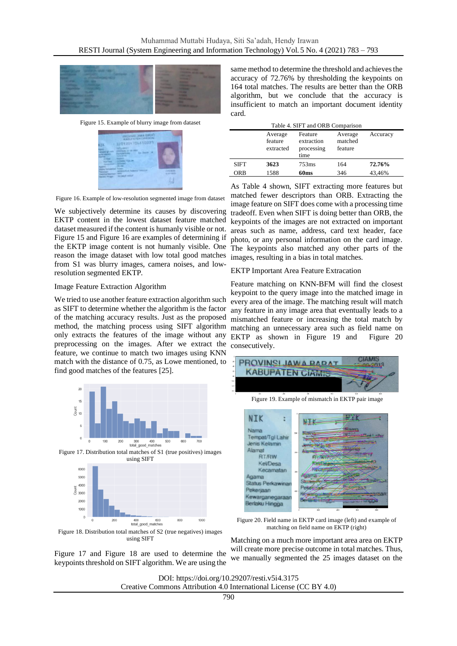

Figure 15. Example of blurry image from dataset

<span id="page-7-0"></span>

<span id="page-7-1"></span>Figure 16. Example of low-resolution segmented image from dataset

We subjectively determine its causes by discovering EKTP content in the lowest dataset feature matched dataset measured if the content is humanly visible or not. [Figure 15](#page-7-0) an[d Figure 16](#page-7-1) are examples of determining if the EKTP image content is not humanly visible. One reason the image dataset with low total good matches from S1 was blurry images, camera noises, and lowresolution segmented EKTP.

### Image Feature Extraction Algorithm

We tried to use another feature extraction algorithm such as SIFT to determine whether the algorithm is the factor of the matching accuracy results. Just as the proposed method, the matching process using SIFT algorithm only extracts the features of the image without any preprocessing on the images. After we extract the feature, we continue to match two images using KNN match with the distance of 0.75, as Lowe mentioned, to find good matches of the features [\[25\].](#page-10-16)

<span id="page-7-2"></span>

<span id="page-7-3"></span>Figure 18. Distribution total matches of S2 (true negatives) images using SIFT

[Figure 17](#page-7-2) and [Figure 18](#page-7-3) are used to determine the keypoints threshold on SIFT algorithm. We are using the

same method to determine the threshold and achieves the accuracy of 72.76% by thresholding the keypoints on 164 total matches. The results are better than the ORB algorithm, but we conclude that the accuracy is insufficient to match an important document identity card.

<span id="page-7-4"></span>

| Table 4. SIFT and ORB Comparison |                                 |                                             |                               |          |
|----------------------------------|---------------------------------|---------------------------------------------|-------------------------------|----------|
|                                  | Average<br>feature<br>extracted | Feature<br>extraction<br>processing<br>time | Average<br>matched<br>feature | Accuracy |
| <b>SIFT</b>                      | 3623                            | 753ms                                       | 164                           | 72.76%   |
| ORB                              | 1588                            | 60 <sub>ms</sub>                            | 346                           | 43.46%   |

As [Table 4](#page-7-4) shown, SIFT extracting more features but matched fewer descriptors than ORB. Extracting the image feature on SIFT does come with a processing time tradeoff. Even when SIFT is doing better than ORB, the keypoints of the images are not extracted on important areas such as name, address, card text header, face photo, or any personal information on the card image. The keypoints also matched any other parts of the images, resulting in a bias in total matches.

EKTP Important Area Feature Extracation

Feature matching on KNN-BFM will find the closest keypoint to the query image into the matched image in every area of the image. The matching result will match any feature in any image area that eventually leads to a mismatched feature or increasing the total match by matching an unnecessary area such as field name on EKTP as shown in Figure 19 and Figure 20 consecutively.



Figure 19. Example of mismatch in EKTP pair image



Figure 20. Field name in EKTP card image (left) and example of matching on field name on EKTP (right)

Matching on a much more important area area on EKTP will create more precise outcome in total matches. Thus, we manually segmented the 25 images dataset on the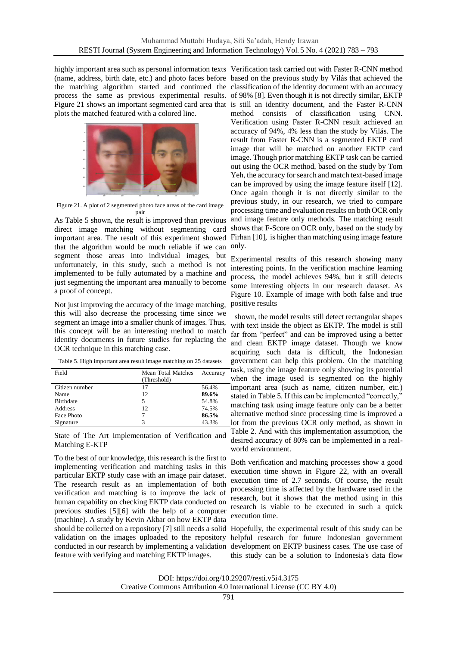highly important area such as personal information texts Verification task carried out with Faster R-CNN method plots the matched featured with a colored line.



Figure 21. A plot of 2 segmented photo face areas of the card image pair

<span id="page-8-1"></span>As [Table 5](#page-8-0) shown, the result is improved than previous direct image matching without segmenting card important area. The result of this experiment showed that the algorithm would be much reliable if we can only. segment those areas into individual images, but unfortunately, in this study, such a method is not implemented to be fully automated by a machine and just segmenting the important area manually to become a proof of concept.

Not just improving the accuracy of the image matching, this will also decrease the processing time since we segment an image into a smaller chunk of images. Thus, this concept will be an interesting method to match identity documents in future studies for replacing the OCR technique in this matching case.

<span id="page-8-0"></span>Table 5. High important area result image matching on 25 datasets

| Field            | Mean Total Matches | Accuracy |
|------------------|--------------------|----------|
|                  | (Threshold)        |          |
| Citizen number   | 17                 | 56.4%    |
| Name             | 12                 | 89.6%    |
| <b>Birthdate</b> | 5                  | 54.8%    |
| Address          | 12                 | 74.5%    |
| Face Photo       |                    | 86.5%    |
| Signature        | κ                  | 43.3%    |

State of The Art Implementation of Verification and Matching E-KTP

To the best of our knowledge, this research is the first to implementing verification and matching tasks in this particular EKTP study case with an image pair dataset. The research result as an implementation of both verification and matching is to improve the lack of human capability on checking EKTP data conducted on previous studies [\[5\]](#page-9-4)[\[6\]](#page-9-5) with the help of a computer (machine). A study by Kevin Akbar on how EKTP data should be collected on a repository [\[7\]](#page-9-6) still needs a solid Hopefully, the experimental result of this study can be validation on the images uploaded to the repository helpful research for future Indonesian government conducted in our research by implementing a validation development on EKTP business cases. The use case of feature with verifying and matching EKTP images.

(name, address, birth date, etc.) and photo faces before based on the previous study by Vilás that achieved the the matching algorithm started and continued the classification of the identity document with an accuracy process the same as previous experimental results. of 98% [\[8\].](#page-9-8) Even though it is not directly similar, EKTP [Figure 21](#page-8-1) shows an important segmented card area that is still an identity document, and the Faster R-CNN method consists of classification using CNN. Verification using Faster R-CNN result achieved an accuracy of 94%, 4% less than the study by Vilás. The result from Faster R-CNN is a segmented EKTP card image that will be matched on another EKTP card image. Though prior matching EKTP task can be carried out using the OCR method, based on the study by Tom Yeh, the accuracy for search and match text-based image can be improved by using the image feature itself [\[12\].](#page-10-2) Once again though it is not directly similar to the previous study, in our research, we tried to compare processing time and evaluation results on both OCR only and image feature only methods. The matching result shows that F-Score on OCR only, based on the study by Firhan [\[10\],](#page-10-0) is higher than matching using image feature

> Experimental results of this research showing many interesting points. In the verification machine learning process, the model achieves 94%, but it still detects some interesting objects in our research dataset. As Figure 10. [Example of image with both false and true](#page-5-2)  [positive results](#page-5-2)

shown, the model results still detect rectangular shapes with text inside the object as EKTP. The model is still far from "perfect" and can be improved using a better and clean EKTP image dataset. Though we know acquiring such data is difficult, the Indonesian government can help this problem. On the matching task, using the image feature only showing its potential when the image used is segmented on the highly important area (such as name, citizen number, etc.) stated in [Table 5.](#page-8-0) If this can be implemented "correctly," matching task using image feature only can be a better alternative method since processing time is improved a lot from the previous OCR only method, as shown in [Table 2.](#page-6-2) And with this implementation assumption, the desired accuracy of 80% can be implemented in a realworld environment.

Both verification and matching processes show a good execution time shown in [Figure 22,](#page-9-9) with an overall execution time of 2.7 seconds. Of course, the result processing time is affected by the hardware used in the research, but it shows that the method using in this research is viable to be executed in such a quick execution time.

this study can be a solution to Indonesia's data flow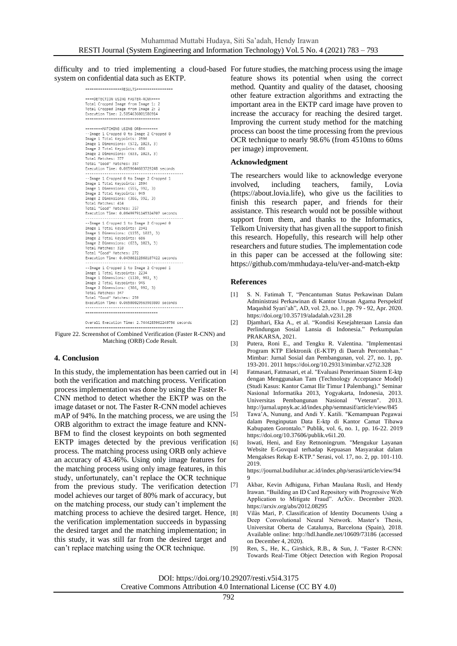difficulty and to tried implementing a cloud-based For future studies, the matching process using the image system on confidential data such as EKTP.

================RESULTS=================

==== DETECTION USING FASTER-RCNN==== Total Cropped Image from Image 1: 2<br>Total Cropped Image from Image 2: 2 Execution Time: 2.5054636001586914 **HERRER-MATCHTNG LISTNG ORRESSERED** Image 1 Dimensions: (572, 1023, 3)<br>Image 2 Total Keypoints: 686<br>Image 2 Dimensions: (633, 1023, 3) Total Matches: 377<br>Total Matches: 377<br>Total "Good" Matches: 357<br>Execution Time: 0.0659644603729248 seconds --Image 1 Cropped 0 to Image 2 Cropped 1<br>Image 1 Total Keypoints: 2594 Image 1 Dimensions: (555, 992, 3) Image 2 Total Keypoints: 945<br>Image 2 Total Keypoints: 945<br>Image 2 Dimensions: (386, 992, 3) Total Matches: 414 Total "Good" Matches: 357 Execution Time: 0.06499791145324707 seconds --Image 1 Cropped 1 to Image 2 Cropped 0 Image 1 Total Keypoints: 2341<br>Image 1 Total Keypoints: 2341<br>Image 1 Dimensions: (1155, 1023, 3) Image 2 Total Keypoints: 686 Image 2 Dimensions: (633, 1023, 3) Total Matches: 310 Total "Good" Matches: 272 Image 1 Total Keypoints: 2234<br>Image 1 Total Keypoints: 2234<br>Image 1 Dimensions: (1120, 992, 3) Image 2 Total Keypoints: 945 Image 2 Dimensions: (386, 992, 3)<br>Total Matches: 347<br>Total "Good" Matches: 259 ---------------------------------

Overall Execution Time: 2.7444283962249756 seconds

<span id="page-9-9"></span>Figure 22. Screenshot of Combined Verification (Faster R-CNN) and Matching (ORB) Code Result.

### **4. Conclusion**

In this study, the implementation has been carried out in [4] both the verification and matching process. Verification process implementation was done by using the Faster R-CNN method to detect whether the EKTP was on the image dataset or not. The Faster R-CNN model achieves mAP of 94%. In the matching process, we are using the [5] ORB algorithm to extract the image feature and KNN-BFM to find the closest keypoints on both segmented EKTP images detected by the previous verification [6] process. The matching process using ORB only achieve an accuracy of 43.46%. Using only image features for the matching process using only image features, in this study, unfortunately, can't replace the OCR technique from the previous study. The verification detection [7] model achieves our target of 80% mark of accuracy, but on the matching process, our study can't implement the matching process to achieve the desired target. Hence, the verification implementation succeeds in bypassing the desired target and the matching implementation; in this study, it was still far from the desired target and can't replace matching using the OCR technique.

feature shows its potential when using the correct method. Quantity and quality of the dataset, choosing other feature extraction algorithms and extracting the important area in the EKTP card image have proven to increase the accuracy for reaching the desired target. Improving the current study method for the matching process can boost the time processing from the previous OCR technique to nearly 98.6% (from 4510ms to 60ms per image) improvement.

### **Acknowledgment**

The researchers would like to acknowledge everyone involved, including teachers, family, Lovia (https://about.lovia.life), who give us the facilities to finish this research paper, and friends for their assistance. This research would not be possible without support from them, and thanks to the Informatics, Telkom University that has given all the support to finish this research. Hopefully, this research will help other researchers and future studies. The implementation code in this paper can be accessed at the following site: https://github.com/mmhudaya-telu/ver-and-match-ektp

# **References**

- <span id="page-9-0"></span>[1] S. N. Fatimah T, "Pencantuman Status Perkawinan Dalam Administrasi Perkawinan di Kantor Urusan Agama Perspektif Maqashid Syari'ah", AD, vol. 23, no. 1, pp. 79 - 92, Apr. 2020. https://doi.org/10.35719/aladalah.v23i1.28
- <span id="page-9-1"></span>[2] Djamhari, Eka A., et al. "Kondisi Kesejahteraan Lansia dan Perlindungan Sosial Lansia di Indonesia." Perkumpulan PRAKARSA, 2021.
- <span id="page-9-2"></span>[3] Putera, Roni E., and Tengku R. Valentina. "Implementasi Program KTP Elektronik (E-KTP) di Daerah Percontohan." Mimbar: Jurnal Sosial dan Pembangunan, vol. 27, no. 1, pp. 193-201. 2011 https://doi.org/10.29313/mimbar.v27i2.328
- <span id="page-9-3"></span>[4] Fatmasari, Fatmasari, et al. "Evaluasi Penerimaan Sistem E-ktp dengan Menggunakan Tam (Technology Acceptance Model) (Studi Kasus: Kantor Camat Ilir Timur I Palembang)." Seminar Nasional Informatika 2013, Yogyakarta, Indonesia, 2013. Universitas Pembangunan Nasional "Veteran". 2013. http://jurnal.upnyk.ac.id/index.php/semnasif/article/view/845
- <span id="page-9-4"></span>[5] Tawa'A, Nunung, and Andi Y. Katili. "Kemampuan Pegawai dalam Penginputan Data E-ktp di Kantor Camat Tibawa Kabupaten Gorontalo." Publik, vol. 6, no. 1, pp. 16-22. 2019 https://doi.org/10.37606/publik.v6i1.20.
- <span id="page-9-5"></span>Iswati, Heni, and Eny Retnoningrum. "Mengukur Layanan Website E-Govqual terhadap Kepuasan Masyarakat dalam Mengakses Rekap E-KTP." Serasi, vol. 17, no. 2, pp. 101-110. 2019.

https://journal.budiluhur.ac.id/index.php/serasi/article/view/94 9

- <span id="page-9-6"></span>Akbar, Kevin Adhiguna, Firhan Maulana Rusli, and Hendy Irawan. "Building an ID Card Repository with Progressive Web Application to Mitigate Fraud". ArXiv. December 2020. https://arxiv.org/abs/2012.08295
- <span id="page-9-8"></span>[8] Vilàs Mari, P. Classification of Identity Documents Using a Deep Convolutional Neural Network. Master's Thesis, Universitat Oberta de Catalunya, Barcelona (Spain), 2018. Available online: http://hdl.handle.net/10609/73186 (accessed on December 4, 2020).
- <span id="page-9-7"></span>[9] Ren, S., He, K., Girshick, R.B., & Sun, J. "Faster R-CNN: Towards Real-Time Object Detection with Region Proposal